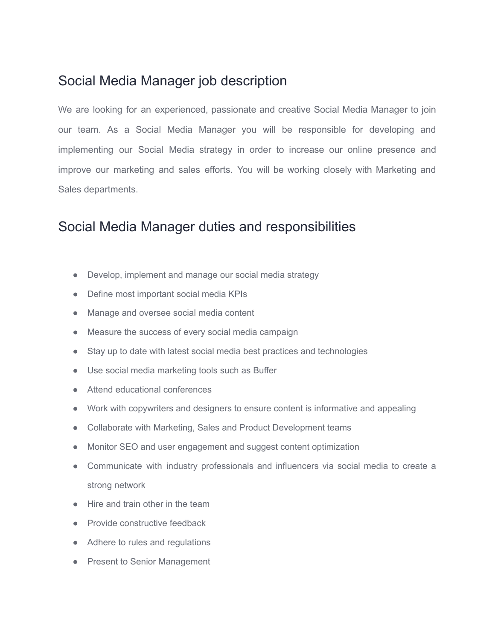## Social Media Manager job description

We are looking for an experienced, passionate and creative Social Media Manager to join our team. As a Social Media Manager you will be responsible for developing and implementing our Social Media strategy in order to increase our online presence and improve our marketing and sales efforts. You will be working closely with Marketing and Sales departments.

## Social Media Manager duties and responsibilities

- Develop, implement and manage our social media strategy
- Define most important social media KPIs
- Manage and oversee social media content
- Measure the success of every social media campaign
- Stay up to date with latest social media best practices and technologies
- Use social media marketing tools such as Buffer
- Attend educational conferences
- Work with copywriters and designers to ensure content is informative and appealing
- Collaborate with Marketing, Sales and Product Development teams
- Monitor SEO and user engagement and suggest content optimization
- Communicate with industry professionals and influencers via social media to create a strong network
- Hire and train other in the team
- **Provide constructive feedback**
- Adhere to rules and regulations
- Present to Senior Management